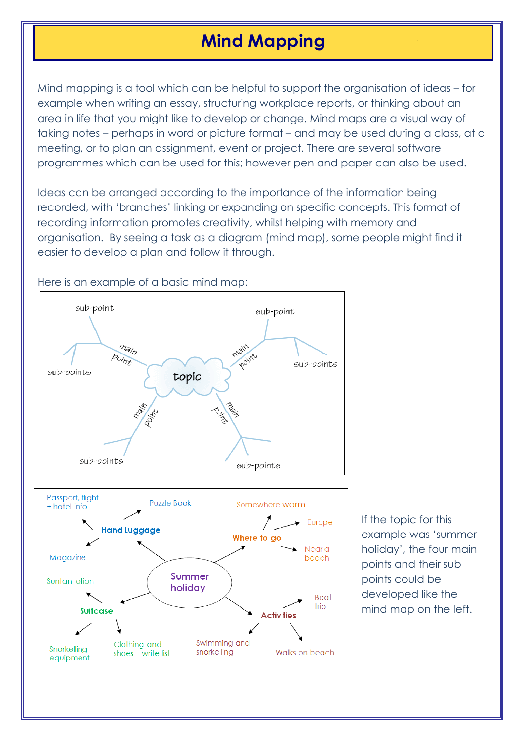## **Mind Mapping**

Mind mapping is a tool which can be helpful to support the organisation of ideas – for example when writing an essay, structuring workplace reports, or thinking about an area in life that you might like to develop or change. Mind maps are a visual way of taking notes – perhaps in word or picture format – and may be used during a class, at a meeting, or to plan an assignment, event or project. There are several software programmes which can be used for this; however pen and paper can also be used.

Ideas can be arranged according to the importance of the information being recorded, with 'branches' linking or expanding on specific concepts. This format of recording information promotes creativity, whilst helping with memory and organisation. By seeing a task as a diagram (mind map), some people might find it easier to develop a plan and follow it through.



Here is an example of a basic mind map:

If the topic for this example was 'summer holiday', the four main points and their sub points could be developed like the mind map on the left.